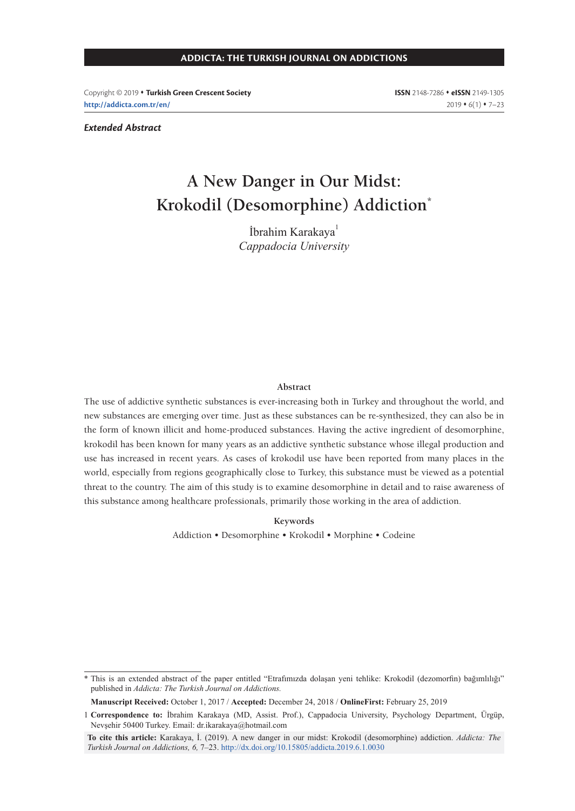Copyright © 2019 **Turkish Green Crescent Society http://addicta.com.tr/en/**

**ISSN** 2148-7286 **eISSN** 2149-1305  $2019 \cdot 6(1) \cdot 7-23$ 

#### *Extended Abstract*

# **A New Danger in Our Midst: Krokodil (Desomorphine) Addiction\***

İbrahim Karakaya<sup>1</sup> *Cappadocia University*

#### **Abstract**

The use of addictive synthetic substances is ever-increasing both in Turkey and throughout the world, and new substances are emerging over time. Just as these substances can be re-synthesized, they can also be in the form of known illicit and home-produced substances. Having the active ingredient of desomorphine, krokodil has been known for many years as an addictive synthetic substance whose illegal production and use has increased in recent years. As cases of krokodil use have been reported from many places in the world, especially from regions geographically close to Turkey, this substance must be viewed as a potential threat to the country. The aim of this study is to examine desomorphine in detail and to raise awareness of this substance among healthcare professionals, primarily those working in the area of addiction.

**Keywords**

Addiction • Desomorphine • Krokodil • Morphine • Codeine

**Manuscript Received:** October 1, 2017 / **Accepted:** December 24, 2018 / **OnlineFirst:** February 25, 2019

<sup>\*</sup> This is an extended abstract of the paper entitled "Etrafımızda dolaşan yeni tehlike: Krokodil (dezomorfin) bağımlılığı" published in *Addicta: The Turkish Journal on Addictions.*

<sup>1</sup> **Correspondence to:** İbrahim Karakaya (MD, Assist. Prof.), Cappadocia University, Psychology Department, Ürgüp, Nevşehir 50400 Turkey. Email: dr.ikarakaya@hotmail.com

**To cite this article:** Karakaya, İ. (2019). A new danger in our midst: Krokodil (desomorphine) addiction. *Addicta: The Turkish Journal on Addictions, 6,* 7‒23. http://dx.doi.org/10.15805/addicta.2019.6.1.0030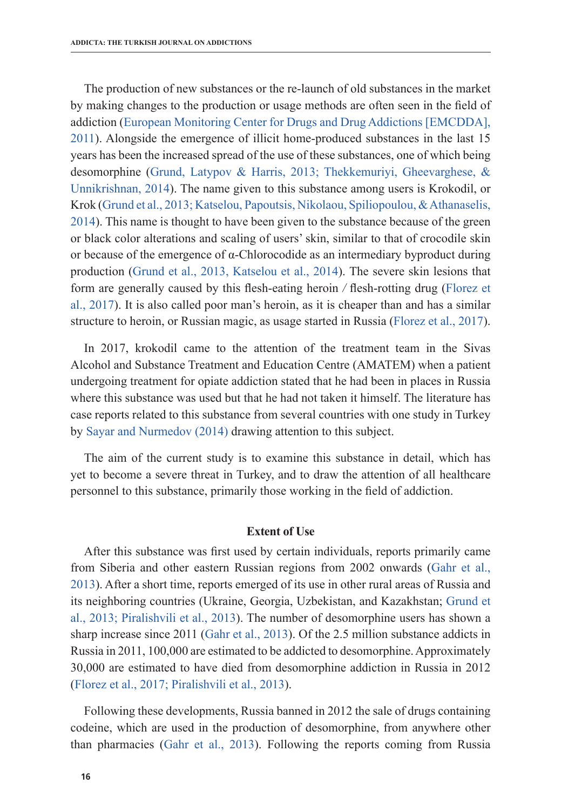The production of new substances or the re-launch of old substances in the market by making changes to the production or usage methods are often seen in the field of addiction (European Monitoring Center for Drugs and Drug Addictions [EMCDDA], 2011). Alongside the emergence of illicit home-produced substances in the last 15 years has been the increased spread of the use of these substances, one of which being desomorphine (Grund, Latypov & Harris, 2013; Thekkemuriyi, Gheevarghese, & Unnikrishnan, 2014). The name given to this substance among users is Krokodil, or Krok (Grund et al., 2013; Katselou, Papoutsis, Nikolaou, Spiliopoulou, & Athanaselis, 2014). This name is thought to have been given to the substance because of the green or black color alterations and scaling of users' skin, similar to that of crocodile skin or because of the emergence of  $\alpha$ -Chlorocodide as an intermediary byproduct during production (Grund et al., 2013, Katselou et al., 2014). The severe skin lesions that form are generally caused by this flesh-eating heroin */* flesh-rotting drug (Florez et al., 2017). It is also called poor man's heroin, as it is cheaper than and has a similar structure to heroin, or Russian magic, as usage started in Russia (Florez et al., 2017).

In 2017, krokodil came to the attention of the treatment team in the Sivas Alcohol and Substance Treatment and Education Centre (AMATEM) when a patient undergoing treatment for opiate addiction stated that he had been in places in Russia where this substance was used but that he had not taken it himself. The literature has case reports related to this substance from several countries with one study in Turkey by Sayar and Nurmedov (2014) drawing attention to this subject.

The aim of the current study is to examine this substance in detail, which has yet to become a severe threat in Turkey, and to draw the attention of all healthcare personnel to this substance, primarily those working in the field of addiction.

# **Extent of Use**

After this substance was first used by certain individuals, reports primarily came from Siberia and other eastern Russian regions from 2002 onwards (Gahr et al., 2013). After a short time, reports emerged of its use in other rural areas of Russia and its neighboring countries (Ukraine, Georgia, Uzbekistan, and Kazakhstan; Grund et al., 2013; Piralishvili et al., 2013). The number of desomorphine users has shown a sharp increase since 2011 (Gahr et al., 2013). Of the 2.5 million substance addicts in Russia in 2011, 100,000 are estimated to be addicted to desomorphine. Approximately 30,000 are estimated to have died from desomorphine addiction in Russia in 2012 (Florez et al., 2017; Piralishvili et al., 2013).

Following these developments, Russia banned in 2012 the sale of drugs containing codeine, which are used in the production of desomorphine, from anywhere other than pharmacies (Gahr et al., 2013). Following the reports coming from Russia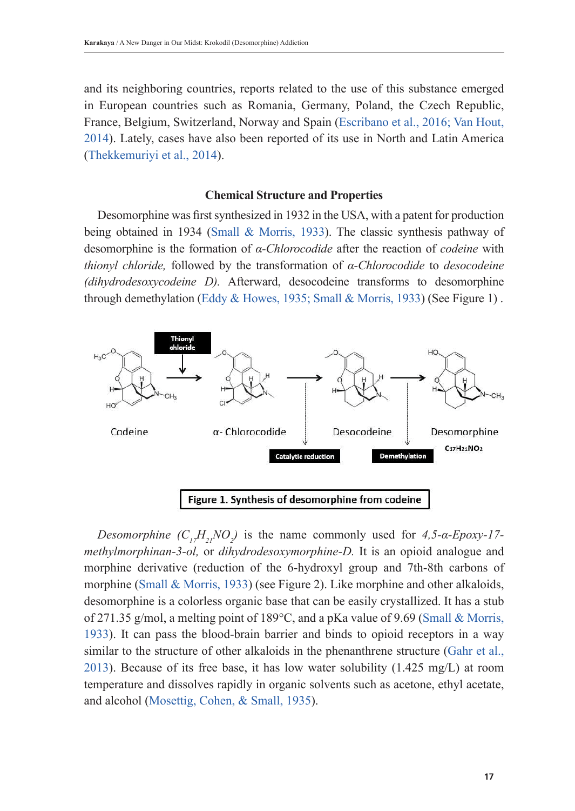and its neighboring countries, reports related to the use of this substance emerged in European countries such as Romania, Germany, Poland, the Czech Republic, France, Belgium, Switzerland, Norway and Spain (Escribano et al., 2016; Van Hout, 2014). Lately, cases have also been reported of its use in North and Latin America (Thekkemuriyi et al., 2014).

## **Chemical Structure and Properties**

Desomorphine was first synthesized in 1932 in the USA, with a patent for production being obtained in 1934 (Small & Morris, 1933). The classic synthesis pathway of desomorphine is the formation of *α-Chlorocodide* after the reaction of *codeine* with *thionyl chloride,* followed by the transformation of *α-Chlorocodide* to *desocodeine (dihydrodesoxycodeine D).* Afterward, desocodeine transforms to desomorphine through demethylation (Eddy & Howes, 1935; Small & Morris, 1933) (See Figure 1) .



*Desomorphine*  $(C_{17}H_{21}NO_2)$  is the name commonly used for *4,5-α-Epoxy-17methylmorphinan-3-ol,* or *dihydrodesoxymorphine-D.* It is an opioid analogue and morphine derivative (reduction of the 6-hydroxyl group and 7th-8th carbons of morphine (Small & Morris, 1933) (see Figure 2). Like morphine and other alkaloids, desomorphine is a colorless organic base that can be easily crystallized. It has a stub of 271.35 g/mol, a melting point of 189°C, and a pKa value of 9.69 (Small & Morris, 1933). It can pass the blood-brain barrier and binds to opioid receptors in a way similar to the structure of other alkaloids in the phenanthrene structure (Gahr et al., 2013). Because of its free base, it has low water solubility (1.425 mg/L) at room temperature and dissolves rapidly in organic solvents such as acetone, ethyl acetate, and alcohol (Mosettig, Cohen, & Small, 1935).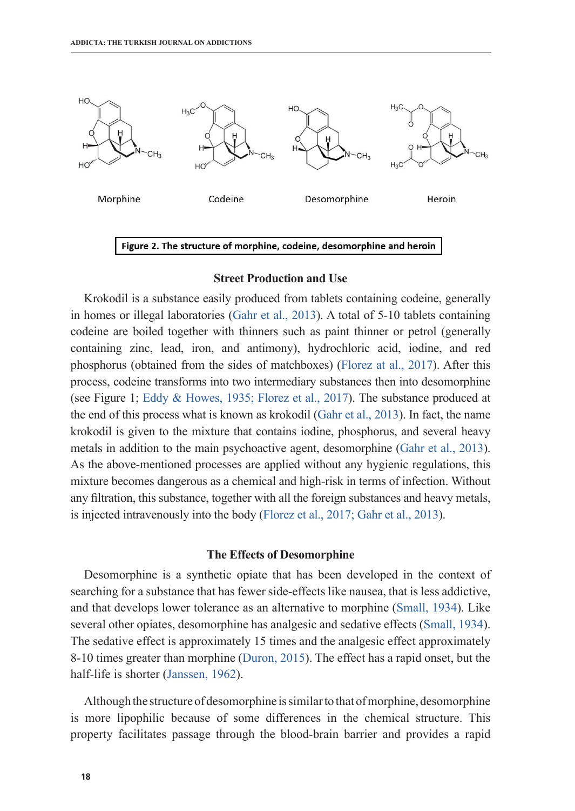

#### **Street Production and Use**

Krokodil is a substance easily produced from tablets containing codeine, generally in homes or illegal laboratories (Gahr et al., 2013). A total of 5-10 tablets containing codeine are boiled together with thinners such as paint thinner or petrol (generally containing zinc, lead, iron, and antimony), hydrochloric acid, iodine, and red phosphorus (obtained from the sides of matchboxes) (Florez at al., 2017). After this process, codeine transforms into two intermediary substances then into desomorphine (see Figure 1; Eddy & Howes, 1935; Florez et al., 2017). The substance produced at the end of this process what is known as krokodil (Gahr et al., 2013). In fact, the name krokodil is given to the mixture that contains iodine, phosphorus, and several heavy metals in addition to the main psychoactive agent, desomorphine (Gahr et al., 2013). As the above-mentioned processes are applied without any hygienic regulations, this mixture becomes dangerous as a chemical and high-risk in terms of infection. Without any filtration, this substance, together with all the foreign substances and heavy metals, is injected intravenously into the body (Florez et al., 2017; Gahr et al., 2013).

# **The Effects of Desomorphine**

Desomorphine is a synthetic opiate that has been developed in the context of searching for a substance that has fewer side-effects like nausea, that is less addictive, and that develops lower tolerance as an alternative to morphine (Small, 1934). Like several other opiates, desomorphine has analgesic and sedative effects (Small, 1934). The sedative effect is approximately 15 times and the analgesic effect approximately 8-10 times greater than morphine (Duron, 2015). The effect has a rapid onset, but the half-life is shorter (Janssen, 1962).

Although the structure of desomorphine is similar to that of morphine, desomorphine is more lipophilic because of some differences in the chemical structure. This property facilitates passage through the blood-brain barrier and provides a rapid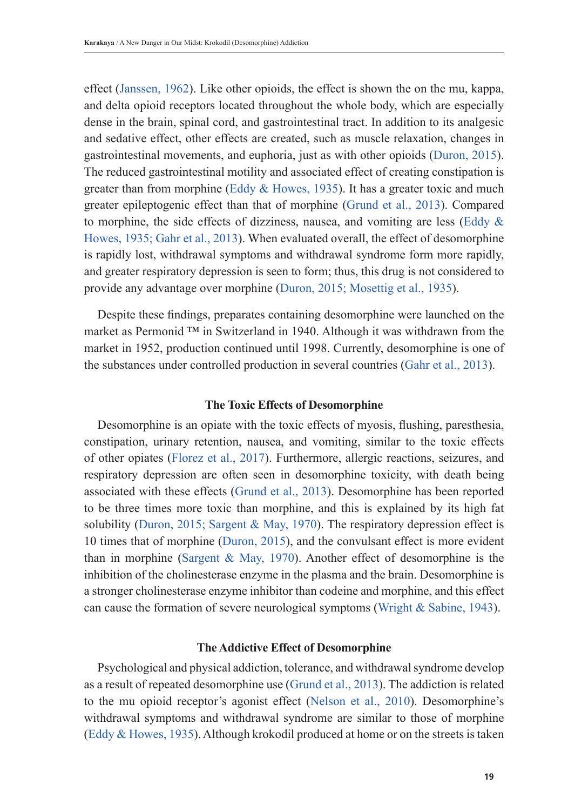effect (Janssen, 1962). Like other opioids, the effect is shown the on the mu, kappa, and delta opioid receptors located throughout the whole body, which are especially dense in the brain, spinal cord, and gastrointestinal tract. In addition to its analgesic and sedative effect, other effects are created, such as muscle relaxation, changes in gastrointestinal movements, and euphoria, just as with other opioids (Duron, 2015). The reduced gastrointestinal motility and associated effect of creating constipation is greater than from morphine (Eddy & Howes, 1935). It has a greater toxic and much greater epileptogenic effect than that of morphine (Grund et al., 2013). Compared to morphine, the side effects of dizziness, nausea, and vomiting are less (Eddy  $\&$ Howes, 1935; Gahr et al., 2013). When evaluated overall, the effect of desomorphine is rapidly lost, withdrawal symptoms and withdrawal syndrome form more rapidly, and greater respiratory depression is seen to form; thus, this drug is not considered to provide any advantage over morphine (Duron, 2015; Mosettig et al., 1935).

Despite these findings, preparates containing desomorphine were launched on the market as Permonid ™ in Switzerland in 1940. Although it was withdrawn from the market in 1952, production continued until 1998. Currently, desomorphine is one of the substances under controlled production in several countries (Gahr et al., 2013).

### **The Toxic Effects of Desomorphine**

Desomorphine is an opiate with the toxic effects of myosis, flushing, paresthesia, constipation, urinary retention, nausea, and vomiting, similar to the toxic effects of other opiates (Florez et al., 2017). Furthermore, allergic reactions, seizures, and respiratory depression are often seen in desomorphine toxicity, with death being associated with these effects (Grund et al., 2013). Desomorphine has been reported to be three times more toxic than morphine, and this is explained by its high fat solubility (Duron, 2015; Sargent & May, 1970). The respiratory depression effect is 10 times that of morphine (Duron, 2015), and the convulsant effect is more evident than in morphine (Sargent & May, 1970). Another effect of desomorphine is the inhibition of the cholinesterase enzyme in the plasma and the brain. Desomorphine is a stronger cholinesterase enzyme inhibitor than codeine and morphine, and this effect can cause the formation of severe neurological symptoms (Wright  $\&$  Sabine, 1943).

# **The Addictive Effect of Desomorphine**

Psychological and physical addiction, tolerance, and withdrawal syndrome develop as a result of repeated desomorphine use (Grund et al., 2013). The addiction is related to the mu opioid receptor's agonist effect (Nelson et al., 2010). Desomorphine's withdrawal symptoms and withdrawal syndrome are similar to those of morphine (Eddy & Howes, 1935). Although krokodil produced at home or on the streets is taken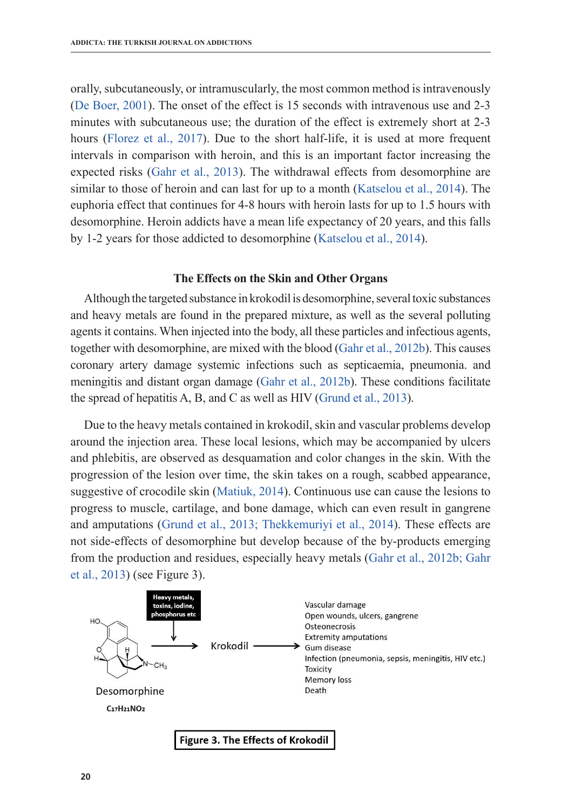orally, subcutaneously, or intramuscularly, the most common method is intravenously (De Boer, 2001). The onset of the effect is 15 seconds with intravenous use and 2-3 minutes with subcutaneous use; the duration of the effect is extremely short at 2-3 hours (Florez et al., 2017). Due to the short half-life, it is used at more frequent intervals in comparison with heroin, and this is an important factor increasing the expected risks (Gahr et al., 2013). The withdrawal effects from desomorphine are similar to those of heroin and can last for up to a month (Katselou et al., 2014). The euphoria effect that continues for 4-8 hours with heroin lasts for up to 1.5 hours with desomorphine. Heroin addicts have a mean life expectancy of 20 years, and this falls by 1-2 years for those addicted to desomorphine (Katselou et al., 2014).

### **The Effects on the Skin and Other Organs**

Although the targeted substance in krokodil is desomorphine, several toxic substances and heavy metals are found in the prepared mixture, as well as the several polluting agents it contains. When injected into the body, all these particles and infectious agents, together with desomorphine, are mixed with the blood (Gahr et al., 2012b). This causes coronary artery damage systemic infections such as septicaemia, pneumonia. and meningitis and distant organ damage (Gahr et al., 2012b). These conditions facilitate the spread of hepatitis A, B, and C as well as HIV (Grund et al., 2013).

Due to the heavy metals contained in krokodil, skin and vascular problems develop around the injection area. These local lesions, which may be accompanied by ulcers and phlebitis, are observed as desquamation and color changes in the skin. With the progression of the lesion over time, the skin takes on a rough, scabbed appearance, suggestive of crocodile skin (Matiuk, 2014). Continuous use can cause the lesions to progress to muscle, cartilage, and bone damage, which can even result in gangrene and amputations (Grund et al., 2013; Thekkemuriyi et al., 2014). These effects are not side-effects of desomorphine but develop because of the by-products emerging from the production and residues, especially heavy metals (Gahr et al., 2012b; Gahr et al., 2013) (see Figure 3).

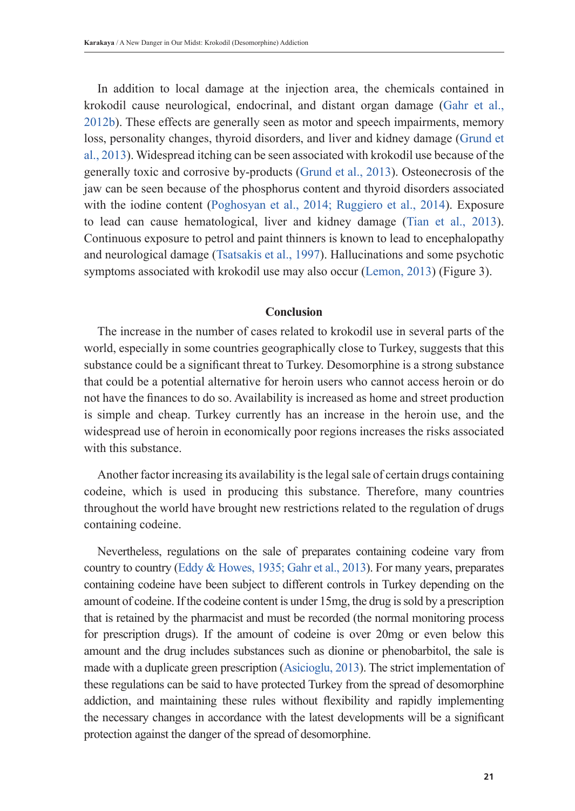In addition to local damage at the injection area, the chemicals contained in krokodil cause neurological, endocrinal, and distant organ damage (Gahr et al., 2012b). These effects are generally seen as motor and speech impairments, memory loss, personality changes, thyroid disorders, and liver and kidney damage (Grund et al., 2013). Widespread itching can be seen associated with krokodil use because of the generally toxic and corrosive by-products (Grund et al., 2013). Osteonecrosis of the jaw can be seen because of the phosphorus content and thyroid disorders associated with the iodine content (Poghosyan et al., 2014; Ruggiero et al., 2014). Exposure to lead can cause hematological, liver and kidney damage (Tian et al., 2013). Continuous exposure to petrol and paint thinners is known to lead to encephalopathy and neurological damage (Tsatsakis et al., 1997). Hallucinations and some psychotic symptoms associated with krokodil use may also occur (Lemon, 2013) (Figure 3).

# **Conclusion**

The increase in the number of cases related to krokodil use in several parts of the world, especially in some countries geographically close to Turkey, suggests that this substance could be a significant threat to Turkey. Desomorphine is a strong substance that could be a potential alternative for heroin users who cannot access heroin or do not have the finances to do so. Availability is increased as home and street production is simple and cheap. Turkey currently has an increase in the heroin use, and the widespread use of heroin in economically poor regions increases the risks associated with this substance.

Another factor increasing its availability is the legal sale of certain drugs containing codeine, which is used in producing this substance. Therefore, many countries throughout the world have brought new restrictions related to the regulation of drugs containing codeine.

Nevertheless, regulations on the sale of preparates containing codeine vary from country to country (Eddy & Howes, 1935; Gahr et al., 2013). For many years, preparates containing codeine have been subject to different controls in Turkey depending on the amount of codeine. If the codeine content is under 15mg, the drug is sold by a prescription that is retained by the pharmacist and must be recorded (the normal monitoring process for prescription drugs). If the amount of codeine is over 20mg or even below this amount and the drug includes substances such as dionine or phenobarbitol, the sale is made with a duplicate green prescription (Asicioglu, 2013). The strict implementation of these regulations can be said to have protected Turkey from the spread of desomorphine addiction, and maintaining these rules without flexibility and rapidly implementing the necessary changes in accordance with the latest developments will be a significant protection against the danger of the spread of desomorphine.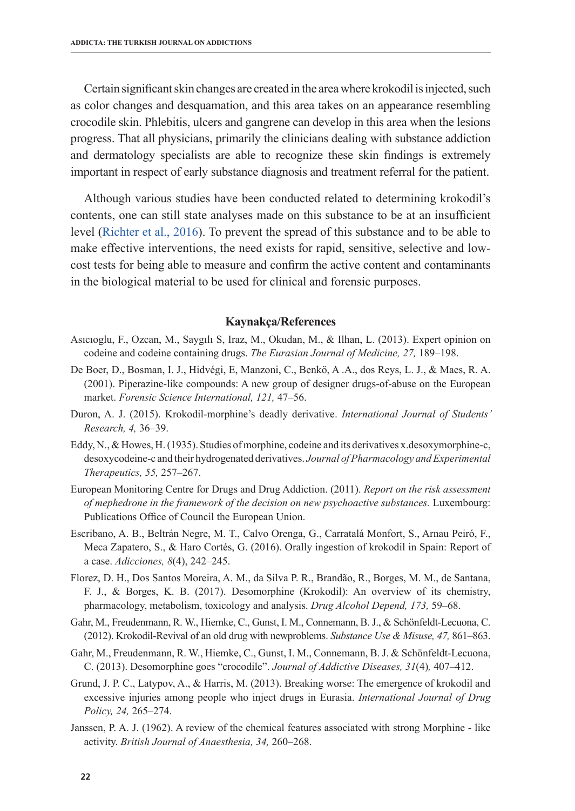Certain significant skin changes are created in the area where krokodil is injected, such as color changes and desquamation, and this area takes on an appearance resembling crocodile skin. Phlebitis, ulcers and gangrene can develop in this area when the lesions progress. That all physicians, primarily the clinicians dealing with substance addiction and dermatology specialists are able to recognize these skin findings is extremely important in respect of early substance diagnosis and treatment referral for the patient.

Although various studies have been conducted related to determining krokodil's contents, one can still state analyses made on this substance to be at an insufficient level (Richter et al., 2016). To prevent the spread of this substance and to be able to make effective interventions, the need exists for rapid, sensitive, selective and lowcost tests for being able to measure and confirm the active content and contaminants in the biological material to be used for clinical and forensic purposes.

## **Kaynakça/References**

- Asıcıoglu, F., Ozcan, M., Saygılı S, Iraz, M., Okudan, M., & Ilhan, L. (2013). Expert opinion on codeine and codeine containing drugs. *The Eurasian Journal of Medicine, 27,* 189–198.
- De Boer, D., Bosman, I. J., Hidvégi, E, Manzoni, C., Benkö, A .A., dos Reys, L. J., & Maes, R. A. (2001). Piperazine-like compounds: A new group of designer drugs-of-abuse on the European market. *Forensic Science International, 121,* 47–56.
- Duron, A. J. (2015). Krokodil-morphine's deadly derivative. *International Journal of Students' Research, 4,* 36–39.
- Eddy, N., & Howes, H. (1935). Studies of morphine, codeine and its derivatives x.desoxymorphine-c, desoxycodeine-c and their hydrogenated derivatives. *Journal of Pharmacology and Experimental Therapeutics, 55,* 257–267.
- European Monitoring Centre for Drugs and Drug Addiction. (2011). *Report on the risk assessment of mephedrone in the framework of the decision on new psychoactive substances.* Luxembourg: Publications Office of Council the European Union.
- Escribano, A. B., Beltrán Negre, M. T., Calvo Orenga, G., Carratalá Monfort, S., Arnau Peiró, F., Meca Zapatero, S., & Haro Cortés, G. (2016). Orally ingestion of krokodil in Spain: Report of a case. *Adicciones, 8*(4), 242–245.
- Florez, D. H., Dos Santos Moreira, A. M., da Silva P. R., Brandão, R., Borges, M. M., de Santana, F. J., & Borges, K. B. (2017). Desomorphine (Krokodil): An overview of its chemistry, pharmacology, metabolism, toxicology and analysis. *Drug Alcohol Depend, 173,* 59–68.
- Gahr, M., Freudenmann, R. W., Hiemke, C., Gunst, I. M., Connemann, B. J., & Schönfeldt-Lecuona, C. (2012). Krokodil-Revival of an old drug with newproblems. *Substance Use & Misuse, 47,* 861–863.
- Gahr, M., Freudenmann, R. W., Hiemke, C., Gunst, I. M., Connemann, B. J. & Schönfeldt-Lecuona, C. (2013). Desomorphine goes "crocodile". *Journal of Addictive Diseases, 31*(4)*,* 407–412.
- Grund, J. P. C., Latypov, A., & Harris, M. (2013). Breaking worse: The emergence of krokodil and excessive injuries among people who inject drugs in Eurasia. *International Journal of Drug Policy, 24,* 265–274.
- Janssen, P. A. J. (1962). A review of the chemical features associated with strong Morphine like activity. *British Journal of Anaesthesia, 34,* 260–268.